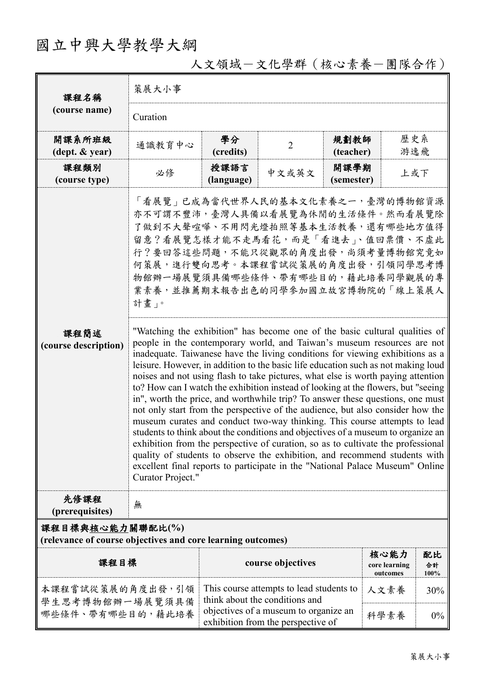## 國立中興大學教學大綱

| 課程名稱                                                                            | 策展大小事                                                                                                                                                                                                                                                                                                                                                                                                                                                                                                                                                                                                                                                                                                                                                                                                                                                                                                                                                                                                                                                                                                                                                                                                                                                                                                                                                                                                                                    |                                                                                     |                   |                   |                                   |                  |  |  |
|---------------------------------------------------------------------------------|------------------------------------------------------------------------------------------------------------------------------------------------------------------------------------------------------------------------------------------------------------------------------------------------------------------------------------------------------------------------------------------------------------------------------------------------------------------------------------------------------------------------------------------------------------------------------------------------------------------------------------------------------------------------------------------------------------------------------------------------------------------------------------------------------------------------------------------------------------------------------------------------------------------------------------------------------------------------------------------------------------------------------------------------------------------------------------------------------------------------------------------------------------------------------------------------------------------------------------------------------------------------------------------------------------------------------------------------------------------------------------------------------------------------------------------|-------------------------------------------------------------------------------------|-------------------|-------------------|-----------------------------------|------------------|--|--|
| (course name)                                                                   | Curation                                                                                                                                                                                                                                                                                                                                                                                                                                                                                                                                                                                                                                                                                                                                                                                                                                                                                                                                                                                                                                                                                                                                                                                                                                                                                                                                                                                                                                 |                                                                                     |                   |                   |                                   |                  |  |  |
| 開課系所班級<br>$(\text{dept.} \& \text{ year})$                                      | 通識教育中心                                                                                                                                                                                                                                                                                                                                                                                                                                                                                                                                                                                                                                                                                                                                                                                                                                                                                                                                                                                                                                                                                                                                                                                                                                                                                                                                                                                                                                   | 學分<br>(credits)                                                                     | $\overline{2}$    | 規劃教師<br>(teacher) | 歷史系<br>游逸飛                        |                  |  |  |
| 課程類別<br>(course type)                                                           | 必修                                                                                                                                                                                                                                                                                                                                                                                                                                                                                                                                                                                                                                                                                                                                                                                                                                                                                                                                                                                                                                                                                                                                                                                                                                                                                                                                                                                                                                       | 授課語言<br>(language)                                                                  | 中文或英文             | 開課學期              | 上或下                               |                  |  |  |
| 課程簡述<br>(course description)                                                    | (semester)<br>「看展覽」已成為當代世界人民的基本文化素養之一,臺灣的博物館資源<br>亦不可謂不豐沛,臺灣人具備以看展覽為休閒的生活條件。然而看展覽除<br>了做到不大聲喧嘩、不用閃光燈拍照等基本生活教養,還有哪些地方值得<br>留意?看展覽怎樣才能不走馬看花,而是「看進去」、值回票價、不虛此<br>行?要回答這些問題,不能只從觀眾的角度出發,尚須考量博物館究竟如<br>何策展,進行雙向思考。本課程嘗試從策展的角度出發,引領同學思考博<br>物館辦一場展覽須具備哪些條件、帶有哪些目的,藉此培養同學觀展的專<br>業素養,並推薦期末報告出色的同學參加國立故宮博物院的「線上策展人<br>計畫」。<br>"Watching the exhibition" has become one of the basic cultural qualities of<br>people in the contemporary world, and Taiwan's museum resources are not<br>inadequate. Taiwanese have the living conditions for viewing exhibitions as a<br>leisure. However, in addition to the basic life education such as not making loud<br>noises and not using flash to take pictures, what else is worth paying attention<br>to? How can I watch the exhibition instead of looking at the flowers, but "seeing<br>in", worth the price, and worthwhile trip? To answer these questions, one must<br>not only start from the perspective of the audience, but also consider how the<br>museum curates and conduct two-way thinking. This course attempts to lead<br>students to think about the conditions and objectives of a museum to organize an<br>exhibition from the perspective of curation, so as to cultivate the professional<br>quality of students to observe the exhibition, and recommend students with<br>excellent final reports to participate in the "National Palace Museum" Online<br>Curator Project." |                                                                                     |                   |                   |                                   |                  |  |  |
| 先修課程<br>(prerequisites)                                                         | 無                                                                                                                                                                                                                                                                                                                                                                                                                                                                                                                                                                                                                                                                                                                                                                                                                                                                                                                                                                                                                                                                                                                                                                                                                                                                                                                                                                                                                                        |                                                                                     |                   |                   |                                   |                  |  |  |
| 課程目標與核心能力關聯配比(%)<br>(relevance of course objectives and core learning outcomes) |                                                                                                                                                                                                                                                                                                                                                                                                                                                                                                                                                                                                                                                                                                                                                                                                                                                                                                                                                                                                                                                                                                                                                                                                                                                                                                                                                                                                                                          |                                                                                     |                   |                   |                                   |                  |  |  |
| 課程目標                                                                            |                                                                                                                                                                                                                                                                                                                                                                                                                                                                                                                                                                                                                                                                                                                                                                                                                                                                                                                                                                                                                                                                                                                                                                                                                                                                                                                                                                                                                                          |                                                                                     | course objectives |                   | 核心能力<br>core learning<br>outcomes | 配比<br>合計<br>100% |  |  |
| 本課程嘗試從策展的角度出發,引領<br>學生思考博物館辦一場展覽須具備                                             |                                                                                                                                                                                                                                                                                                                                                                                                                                                                                                                                                                                                                                                                                                                                                                                                                                                                                                                                                                                                                                                                                                                                                                                                                                                                                                                                                                                                                                          | This course attempts to lead students to<br>think about the conditions and          |                   |                   | 人文素養                              | 30%              |  |  |
| 哪些條件、帶有哪些目的,藉此培養                                                                |                                                                                                                                                                                                                                                                                                                                                                                                                                                                                                                                                                                                                                                                                                                                                                                                                                                                                                                                                                                                                                                                                                                                                                                                                                                                                                                                                                                                                                          | objectives of a museum to organize an<br>科學素養<br>exhibition from the perspective of |                   | $0\%$             |                                   |                  |  |  |

人文領域-文化學群(核心素養-團隊合作)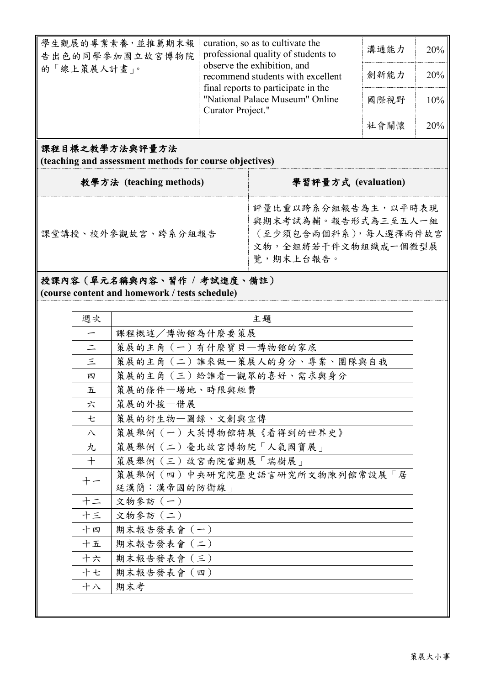| 學生觀展的專業素養,並推薦期末報<br>告出色的同學參加國立故宮博物院<br>的「線上策展人計畫」。                        | curation, so as to cultivate the<br>professional quality of students to<br>observe the exhibition, and<br>recommend students with excellent<br>final reports to participate in the<br>"National Palace Museum" Online<br>Curator Project." |                                                                     | 溝通能力<br>創新能力<br>國際視野<br>社會關懷 | 20%<br>20%<br>10%<br>20% |  |  |  |  |
|---------------------------------------------------------------------------|--------------------------------------------------------------------------------------------------------------------------------------------------------------------------------------------------------------------------------------------|---------------------------------------------------------------------|------------------------------|--------------------------|--|--|--|--|
| 課程目標之教學方法與評量方法<br>(teaching and assessment methods for course objectives) |                                                                                                                                                                                                                                            |                                                                     |                              |                          |  |  |  |  |
| 教學方法 (teaching methods)                                                   |                                                                                                                                                                                                                                            | 學習評量方式 (evaluation)                                                 |                              |                          |  |  |  |  |
| 課堂講授、校外參觀故宮、跨系分組報告                                                        |                                                                                                                                                                                                                                            | 評量比重以跨系分組報告為主,以平時表現<br>與期末考試為輔。報告形式為三至五人一組<br>(至少須包含兩個科系), 每人選擇兩件故宮 |                              |                          |  |  |  |  |

文物,全組將若干件文物組織成一個微型展

覽,期末上台報告。

課堂講授、校外參觀故宮、跨系分組報告

授課內容(單元名稱與內容、習作 **/** 考試進度、備註)

**(course content and homework / tests schedule)**

| 週次                       | 主題                            |
|--------------------------|-------------------------------|
| $\overline{\phantom{m}}$ | 課程概述/博物館為什麼要策展                |
| $\equiv$                 | 策展的主角 (一) 有什麼寶貝一博物館的家底        |
| $\leq$                   | 策展的主角 (二) 誰來做一策展人的身分、專業、團隊與自我 |
| 四                        | 策展的主角 (三) 給誰看–觀眾的喜好、需求與身分     |
| 五                        | 策展的條件–場地、時限與經費                |
| 六                        | 策展的外援一借展                      |
| 七                        | 策展的衍生物一圖錄、文創與宣傳               |
| 八                        | 策展舉例(一)大英博物館特展《看得到的世界史》       |
| 九                        | 策展舉例(二)臺北故宮博物院「人氣國寶展」         |
| $+$                      | 策展舉例 (三)故宮南院當期展「瑞樹展」          |
| 十一                       | 策展舉例(四)中央研究院歷史語言研究所文物陳列館常設展「居 |
|                          | 延漢簡:漢帝國的防衛線」                  |
| 十二                       | 文物參訪 (一)                      |
| 十三                       | 文物參訪 (二)                      |
| 十四                       | 期末報告發表會 (一)                   |
| 十五                       | 期末報告發表會 (二)                   |
| 十六                       | 期末報告發表會(三)                    |
| 十七                       | 期末報告發表會 (四)                   |
| 十八                       | 期末考                           |
|                          |                               |